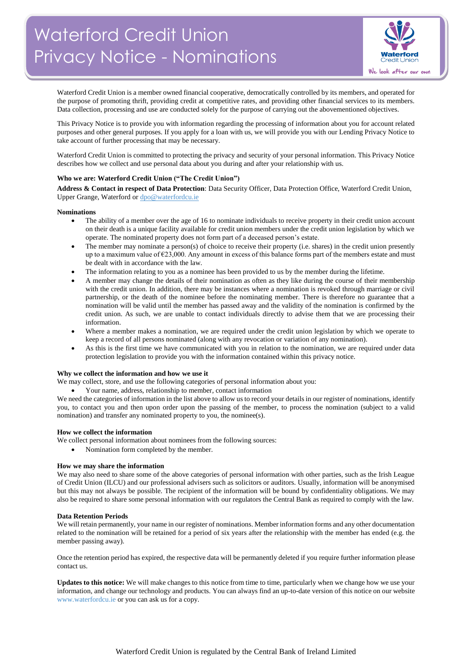

Waterford Credit Union is a member owned financial cooperative, democratically controlled by its members, and operated for the purpose of promoting thrift, providing credit at competitive rates, and providing other financial services to its members. Data collection, processing and use are conducted solely for the purpose of carrying out the abovementioned objectives.

This Privacy Notice is to provide you with information regarding the processing of information about you for account related purposes and other general purposes. If you apply for a loan with us, we will provide you with our Lending Privacy Notice to take account of further processing that may be necessary.

Waterford Credit Union is committed to protecting the privacy and security of your personal information. This Privacy Notice describes how we collect and use personal data about you during and after your relationship with us.

#### **Who we are: Waterford Credit Union ("The Credit Union")**

**Address & Contact in respect of Data Protection**: Data Security Officer, Data Protection Office, Waterford Credit Union, Upper Grange, Waterford o[r dpo@waterfordcu.ie](mailto:dpo@waterfordcu.ie)

#### **Nominations**

- The ability of a member over the age of 16 to nominate individuals to receive property in their credit union account on their death is a unique facility available for credit union members under the credit union legislation by which we operate. The nominated property does not form part of a deceased person's estate.
- The member may nominate a person(s) of choice to receive their property (i.e. shares) in the credit union presently up to a maximum value of  $\epsilon$ 23,000. Any amount in excess of this balance forms part of the members estate and must be dealt with in accordance with the law.
- The information relating to you as a nominee has been provided to us by the member during the lifetime.
- A member may change the details of their nomination as often as they like during the course of their membership with the credit union. In addition, there may be instances where a nomination is revoked through marriage or civil partnership, or the death of the nominee before the nominating member. There is therefore no guarantee that a nomination will be valid until the member has passed away and the validity of the nomination is confirmed by the credit union. As such, we are unable to contact individuals directly to advise them that we are processing their information.
- Where a member makes a nomination, we are required under the credit union legislation by which we operate to keep a record of all persons nominated (along with any revocation or variation of any nomination).
- As this is the first time we have communicated with you in relation to the nomination, we are required under data protection legislation to provide you with the information contained within this privacy notice.

#### **Why we collect the information and how we use it**

We may collect, store, and use the following categories of personal information about you:

Your name, address, relationship to member, contact information

We need the categories of information in the list above to allow us to record your details in our register of nominations, identify you, to contact you and then upon order upon the passing of the member, to process the nomination (subject to a valid nomination) and transfer any nominated property to you, the nominee(s).

#### **How we collect the information**

We collect personal information about nominees from the following sources:

Nomination form completed by the member.

#### **How we may share the information**

We may also need to share some of the above categories of personal information with other parties, such as the Irish League of Credit Union (ILCU) and our professional advisers such as solicitors or auditors. Usually, information will be anonymised but this may not always be possible. The recipient of the information will be bound by confidentiality obligations. We may also be required to share some personal information with our regulators the Central Bank as required to comply with the law.

#### **Data Retention Periods**

We will retain permanently, your name in our register of nominations. Member information forms and any other documentation related to the nomination will be retained for a period of six years after the relationship with the member has ended (e.g. the member passing away).

Once the retention period has expired, the respective data will be permanently deleted if you require further information please contact us.

**Updates to this notice:** We will make changes to this notice from time to time, particularly when we change how we use your information, and change our technology and products. You can always find an up-to-date version of this notice on our website [www.waterfordcu.ie](http://www.waterfordcu.ie/) or you can ask us for a copy.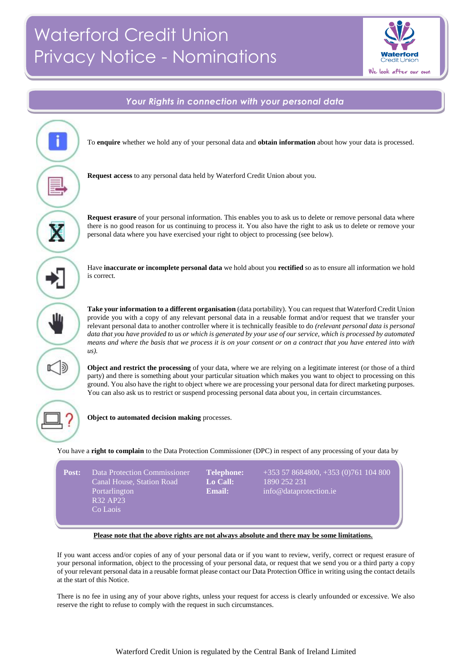# Waterford Credit Union Privacy Notice - Nominations



## *Your Rights in connection with your personal data* i To **enquire** whether we hold any of your personal data and **obtain information** about how your data is processed. **Request access** to any personal data held by Waterford Credit Union about you. **Request erasure** of your personal information. This enables you to ask us to delete or remove personal data where Ň there is no good reason for us continuing to process it. You also have the right to ask us to delete or remove your personal data where you have exercised your right to object to processing (see below). Have **inaccurate or incomplete personal data** we hold about you **rectified** so as to ensure all information we hold is correct. **Take your information to a different organisation** (data portability). You can request that Waterford Credit Union Ш provide you with a copy of any relevant personal data in a reusable format and/or request that we transfer your relevant personal data to another controller where it is technically feasible to do *(relevant personal data is personal data that you have provided to us or which is generated by your use of our service, which is processed by automated means and where the basis that we process it is on your consent or on a contract that you have entered into with us).* **Object and restrict the processing** of your data, where we are relying on a legitimate interest (or those of a third party) and there is something about your particular situation which makes you want to object to processing on this ground. You also have the right to object where we are processing your personal data for direct marketing purposes. You can also ask us to restrict or suspend processing personal data about you, in certain circumstances. **Object to automated decision making** processes. You have a **right to complain** to the Data Protection Commissioner (DPC) in respect of any processing of your data by **Post:** Data Protection Commissioner **Telephone:** +353 57 8684800, +353 (0)761 104 800

| 'ost: | Data Protection Commissioner<br>Canal House, Station Road<br>Portarlington<br>R32 AP23<br>Co Laois | <b>Telephone:</b><br>Lo Call:<br>Email: | $+353578684800, +353$<br>1890 252 231<br>info@dataprotection.ie |
|-------|----------------------------------------------------------------------------------------------------|-----------------------------------------|-----------------------------------------------------------------|
|       |                                                                                                    |                                         |                                                                 |

### **Please note that the above rights are not always absolute and there may be some limitations.***.t*

If you want access and/or copies of any of your personal data or if you want to review, verify, correct or request erasure of your personal information, object to the processing of your personal data, or request that we send you or a third party a copy of your relevant personal data in a reusable format please contact our Data Protection Office in writing using the contact details at the start of this Notice.

There is no fee in using any of your above rights, unless your request for access is clearly unfounded or excessive. We also reserve the right to refuse to comply with the request in such circumstances.